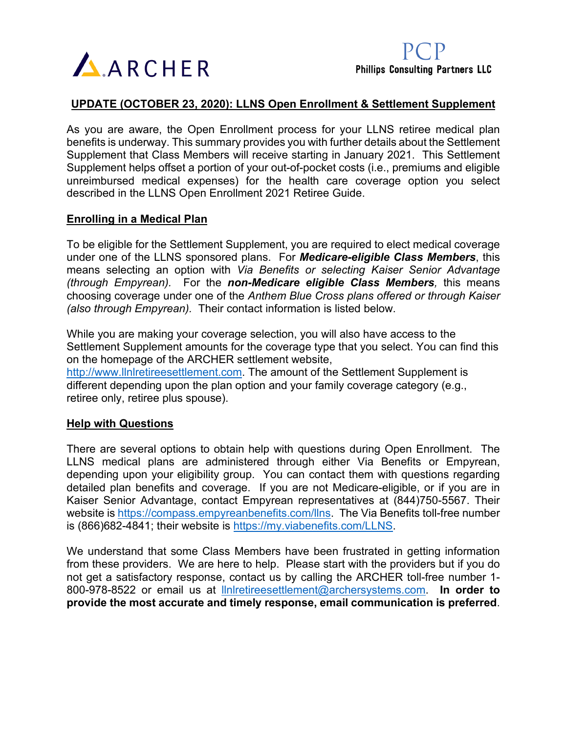

### **UPDATE (OCTOBER 23, 2020): LLNS Open Enrollment & Settlement Supplement**

As you are aware, the Open Enrollment process for your LLNS retiree medical plan benefits is underway. This summary provides you with further details about the Settlement Supplement that Class Members will receive starting in January 2021. This Settlement Supplement helps offset a portion of your out-of-pocket costs (i.e., premiums and eligible unreimbursed medical expenses) for the health care coverage option you select described in the LLNS Open Enrollment 2021 Retiree Guide.

### **Enrolling in a Medical Plan**

To be eligible for the Settlement Supplement, you are required to elect medical coverage under one of the LLNS sponsored plans. For *Medicare-eligible Class Members*, this means selecting an option with *Via Benefits or selecting Kaiser Senior Advantage (through Empyrean).* For the *non-Medicare eligible Class Members,* this means choosing coverage under one of the *Anthem Blue Cross plans offered or through Kaiser (also through Empyrean).* Their contact information is listed below.

While you are making your coverage selection, you will also have access to the Settlement Supplement amounts for the coverage type that you select. You can find this on the homepage of the ARCHER settlement website,

[http://www.llnlretireesettlement.com.](http://www.llnlretireesettlement.com/) The amount of the Settlement Supplement is different depending upon the plan option and your family coverage category (e.g., retiree only, retiree plus spouse).

#### **Help with Questions**

There are several options to obtain help with questions during Open Enrollment. The LLNS medical plans are administered through either Via Benefits or Empyrean, depending upon your eligibility group. You can contact them with questions regarding detailed plan benefits and coverage. If you are not Medicare-eligible, or if you are in Kaiser Senior Advantage, contact Empyrean representatives at (844)750-5567. Their website is [https://compass.empyreanbenefits.com/llns.](https://compass.empyreanbenefits.com/llns) The Via Benefits toll-free number is (866)682-4841; their website is [https://my.viabenefits.com/LLNS.](https://my.viabenefits.com/LLNS)

We understand that some Class Members have been frustrated in getting information from these providers. We are here to help. Please start with the providers but if you do not get a satisfactory response, contact us by calling the ARCHER toll-free number 1- 800-978-8522 or email us at [llnlretireesettlement@archersystems.com.](mailto:llnlretireesettlement@archersystems.com) **In order to provide the most accurate and timely response, email communication is preferred**.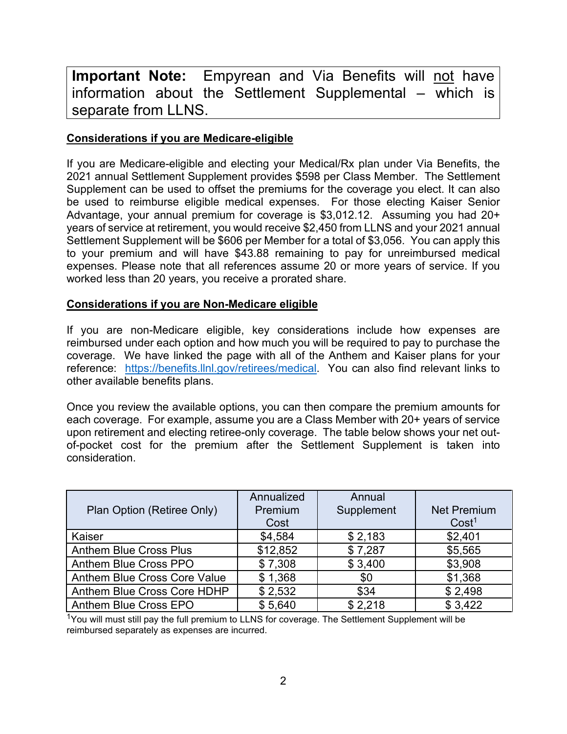**Important Note:** Empyrean and Via Benefits will not have information about the Settlement Supplemental – which is separate from LLNS.

# **Considerations if you are Medicare-eligible**

If you are Medicare-eligible and electing your Medical/Rx plan under Via Benefits, the 2021 annual Settlement Supplement provides \$598 per Class Member. The Settlement Supplement can be used to offset the premiums for the coverage you elect. It can also be used to reimburse eligible medical expenses. For those electing Kaiser Senior Advantage, your annual premium for coverage is \$3,012.12. Assuming you had 20+ years of service at retirement, you would receive \$2,450 from LLNS and your 2021 annual Settlement Supplement will be \$606 per Member for a total of \$3,056. You can apply this to your premium and will have \$43.88 remaining to pay for unreimbursed medical expenses. Please note that all references assume 20 or more years of service. If you worked less than 20 years, you receive a prorated share.

# **Considerations if you are Non-Medicare eligible**

If you are non-Medicare eligible, key considerations include how expenses are reimbursed under each option and how much you will be required to pay to purchase the coverage. We have linked the page with all of the Anthem and Kaiser plans for your reference: [https://benefits.llnl.gov/retirees/medical.](https://benefits.llnl.gov/retirees/medical) You can also find relevant links to other available benefits plans.

Once you review the available options, you can then compare the premium amounts for each coverage. For example, assume you are a Class Member with 20+ years of service upon retirement and electing retiree-only coverage. The table below shows your net outof-pocket cost for the premium after the Settlement Supplement is taken into consideration.

| Plan Option (Retiree Only)    | Annualized<br>Premium<br>Cost | Annual<br>Supplement | <b>Net Premium</b><br>Cost <sup>1</sup> |
|-------------------------------|-------------------------------|----------------------|-----------------------------------------|
| Kaiser                        | \$4,584                       | \$2,183              | \$2,401                                 |
| <b>Anthem Blue Cross Plus</b> | \$12,852                      | \$7,287              | \$5,565                                 |
| Anthem Blue Cross PPO         | \$7,308                       | \$3,400              | \$3,908                                 |
| Anthem Blue Cross Core Value  | \$1,368                       | \$0                  | \$1,368                                 |
| Anthem Blue Cross Core HDHP   | \$2,532                       | \$34                 | \$2,498                                 |
| Anthem Blue Cross EPO         | \$5,640                       | \$2,218              | \$3,422                                 |

<sup>1</sup>You will must still pay the full premium to LLNS for coverage. The Settlement Supplement will be reimbursed separately as expenses are incurred.